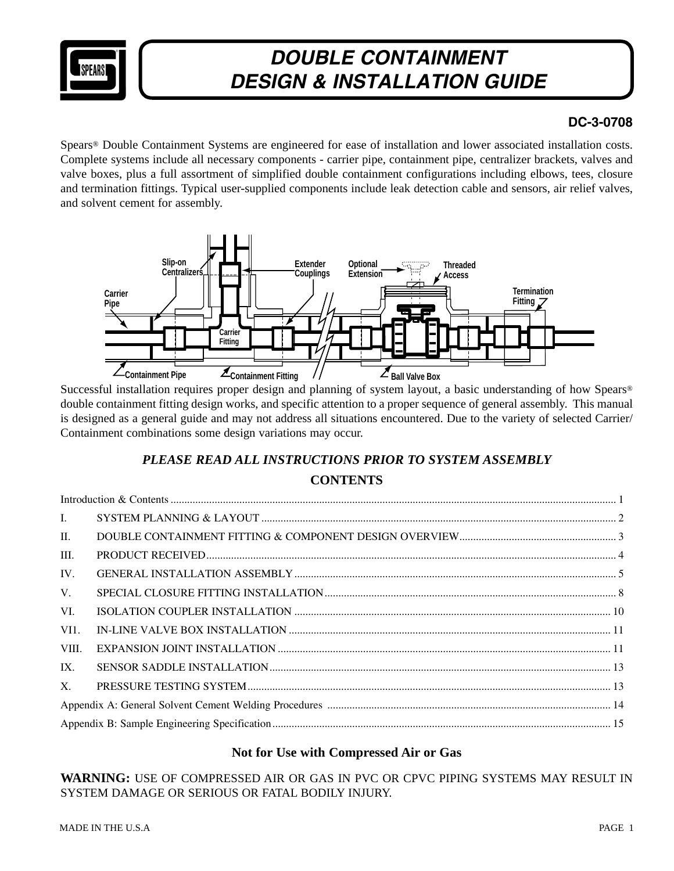

## **DC-3-0708**

Spears® Double Containment Systems are engineered for ease of installation and lower associated installation costs. Complete systems include all necessary components - carrier pipe, containment pipe, centralizer brackets, valves and valve boxes, plus a full assortment of simplified double containment configurations including elbows, tees, closure and termination fittings. Typical user-supplied components include leak detection cable and sensors, air relief valves, and solvent cement for assembly.



Successful installation requires proper design and planning of system layout, a basic understanding of how Spears® double containment fitting design works, and specific attention to a proper sequence of general assembly. This manual is designed as a general guide and may not address all situations encountered. Due to the variety of selected Carrier/ Containment combinations some design variations may occur.

## *PLEASE READ ALL INSTRUCTIONS PRIOR TO SYSTEM ASSEMBLY* **CONTENTS**

### **Not for Use with Compressed Air or Gas**

**WARNING:** USE OF COMPRESSED AIR OR GAS IN PVC OR CPVC PIPING SYSTEMS MAY RESULT IN SYSTEM DAMAGE OR SERIOUS OR FATAL BODILY INJURY.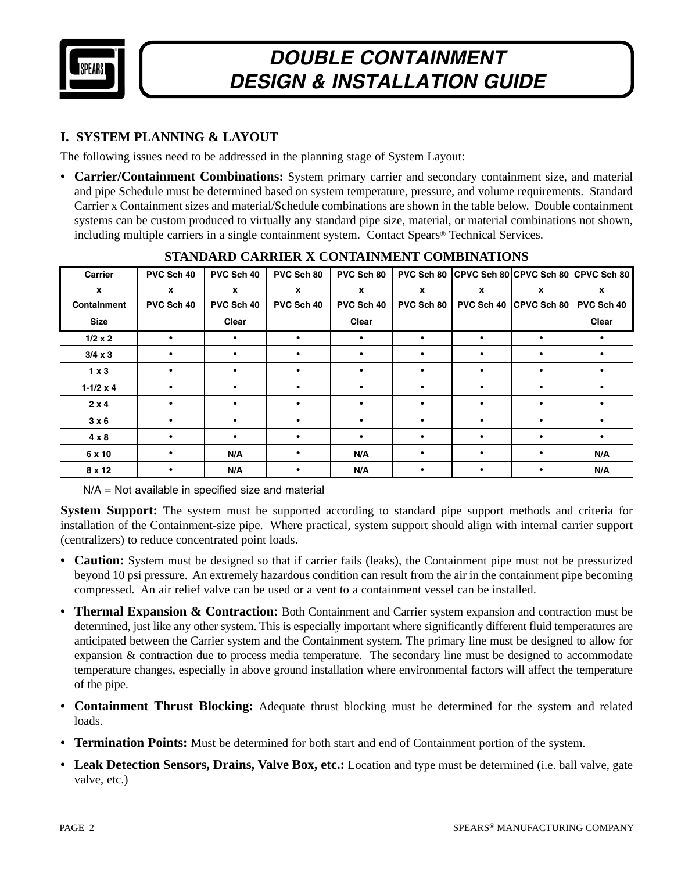

## **I. SYSTEM PLANNING & LAYOUT**

The following issues need to be addressed in the planning stage of System Layout:

**• Carrier/Containment Combinations:** System primary carrier and secondary containment size, and material and pipe Schedule must be determined based on system temperature, pressure, and volume requirements. Standard Carrier x Containment sizes and material/Schedule combinations are shown in the table below. Double containment systems can be custom produced to virtually any standard pipe size, material, or material combinations not shown, including multiple carriers in a single containment system. Contact Spears® Technical Services.

| Carrier            | PVC Sch 40  | PVC Sch 40  | PVC Sch 80 | PVC Sch 80 |                  |            |             | PVC Sch 80 CPVC Sch 80 CPVC Sch 80 CPVC Sch 80 |
|--------------------|-------------|-------------|------------|------------|------------------|------------|-------------|------------------------------------------------|
| X                  | $\mathbf x$ | $\mathbf x$ | x          | x          | $\boldsymbol{x}$ | x          | x           | $\mathbf x$                                    |
| Containment        | PVC Sch 40  | PVC Sch 40  | PVC Sch 40 | PVC Sch 40 | PVC Sch 80       | PVC Sch 40 | CPVC Sch 80 | PVC Sch 40                                     |
| <b>Size</b>        |             | Clear       |            | Clear      |                  |            |             | Clear                                          |
| $1/2 \times 2$     | $\bullet$   | $\bullet$   | ٠          | $\bullet$  | ٠                | ٠          | $\bullet$   | $\bullet$                                      |
| $3/4 \times 3$     | $\bullet$   |             |            |            | ٠                |            | $\bullet$   |                                                |
| $1 \times 3$       | $\bullet$   |             | ٠          | $\bullet$  | ٠                |            | $\bullet$   | $\bullet$                                      |
| $1 - 1/2 \times 4$ | $\bullet$   |             |            |            | ٠                |            | $\bullet$   |                                                |
| $2 \times 4$       | $\bullet$   | $\bullet$   | $\bullet$  | $\bullet$  | $\bullet$        | $\bullet$  | $\bullet$   | $\bullet$                                      |
| $3 \times 6$       | $\bullet$   |             | $\bullet$  | $\bullet$  | $\bullet$        |            | $\bullet$   | $\bullet$                                      |
| $4 \times 8$       | $\bullet$   |             |            |            | ٠                |            | $\bullet$   | $\bullet$                                      |
| 6 x 10             | $\bullet$   | N/A         | ٠          | N/A        | ٠                |            | $\bullet$   | N/A                                            |
| 8 x 12             | ٠           | N/A         |            | N/A        | ٠                |            | ٠           | N/A                                            |

### **STANDARD CARRIER X CONTAINMENT COMBINATIONS**

N/A = Not available in specified size and material

**System Support:** The system must be supported according to standard pipe support methods and criteria for installation of the Containment-size pipe. Where practical, system support should align with internal carrier support (centralizers) to reduce concentrated point loads.

- **Caution:** System must be designed so that if carrier fails (leaks), the Containment pipe must not be pressurized beyond 10 psi pressure. An extremely hazardous condition can result from the air in the containment pipe becoming compressed. An air relief valve can be used or a vent to a containment vessel can be installed.
- **Thermal Expansion & Contraction:** Both Containment and Carrier system expansion and contraction must be determined, just like any other system. This is especially important where significantly different fluid temperatures are anticipated between the Carrier system and the Containment system. The primary line must be designed to allow for expansion & contraction due to process media temperature. The secondary line must be designed to accommodate temperature changes, especially in above ground installation where environmental factors will affect the temperature of the pipe.
- **Containment Thrust Blocking:** Adequate thrust blocking must be determined for the system and related loads.
- **Termination Points:** Must be determined for both start and end of Containment portion of the system.
- **Leak Detection Sensors, Drains, Valve Box, etc.:** Location and type must be determined (i.e. ball valve, gate valve, etc.)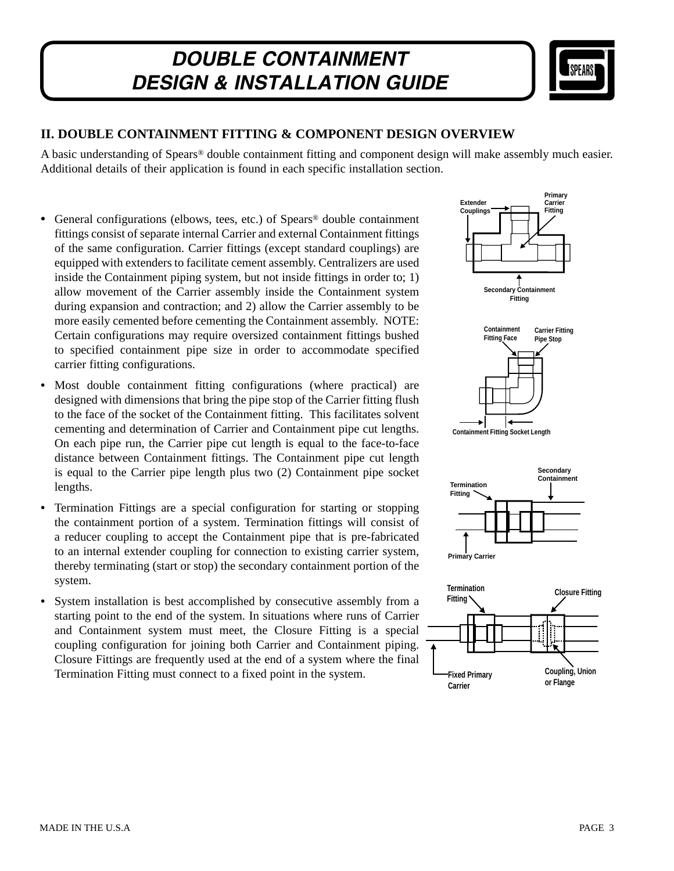

### **II. DOUBLE CONTAINMENT FITTING & COMPONENT DESIGN OVERVIEW**

A basic understanding of Spears® double containment fitting and component design will make assembly much easier. Additional details of their application is found in each specific installation section.

- General configurations (elbows, tees, etc.) of Spears® double containment fittings consist of separate internal Carrier and external Containment fittings of the same configuration. Carrier fittings (except standard couplings) are equipped with extenders to facilitate cement assembly. Centralizers are used inside the Containment piping system, but not inside fittings in order to; 1) allow movement of the Carrier assembly inside the Containment system during expansion and contraction; and 2) allow the Carrier assembly to be more easily cemented before cementing the Containment assembly. NOTE: Certain configurations may require oversized containment fittings bushed to specified containment pipe size in order to accommodate specified carrier fitting configurations.
- Most double containment fitting configurations (where practical) are designed with dimensions that bring the pipe stop of the Carrier fitting flush to the face of the socket of the Containment fitting. This facilitates solvent cementing and determination of Carrier and Containment pipe cut lengths. On each pipe run, the Carrier pipe cut length is equal to the face-to-face distance between Containment fittings. The Containment pipe cut length is equal to the Carrier pipe length plus two (2) Containment pipe socket lengths.
- Termination Fittings are a special configuration for starting or stopping the containment portion of a system. Termination fittings will consist of a reducer coupling to accept the Containment pipe that is pre-fabricated to an internal extender coupling for connection to existing carrier system, thereby terminating (start or stop) the secondary containment portion of the system.
- System installation is best accomplished by consecutive assembly from a starting point to the end of the system. In situations where runs of Carrier and Containment system must meet, the Closure Fitting is a special coupling configuration for joining both Carrier and Containment piping. Closure Fittings are frequently used at the end of a system where the final Termination Fitting must connect to a fixed point in the system.

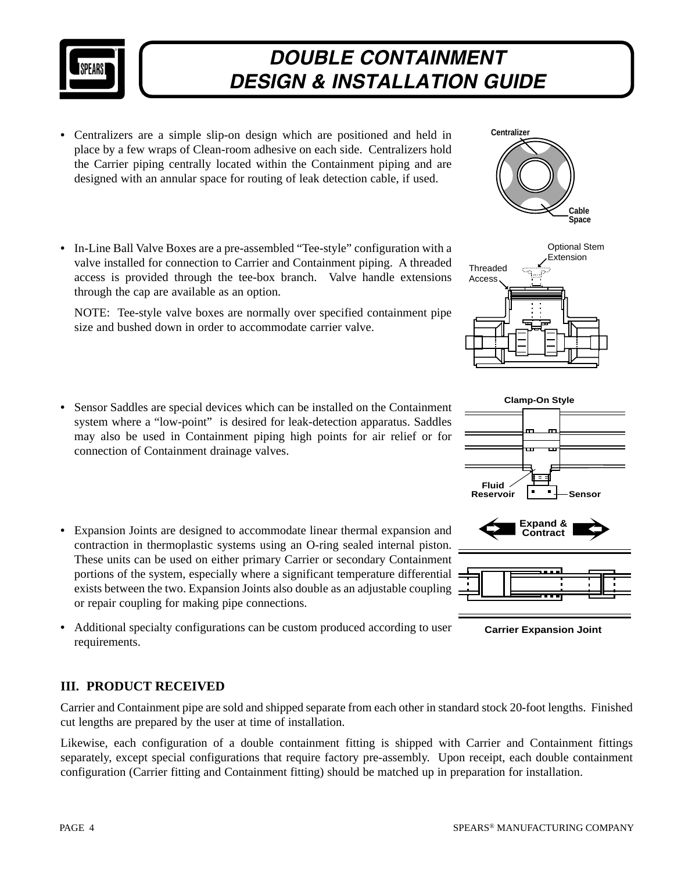

- Centralizers are a simple slip-on design which are positioned and held in place by a few wraps of Clean-room adhesive on each side. Centralizers hold the Carrier piping centrally located within the Containment piping and are designed with an annular space for routing of leak detection cable, if used.
- In-Line Ball Valve Boxes are a pre-assembled "Tee-style" configuration with a valve installed for connection to Carrier and Containment piping. A threaded access is provided through the tee-box branch. Valve handle extensions through the cap are available as an option.

 NOTE: Tee-style valve boxes are normally over specified containment pipe size and bushed down in order to accommodate carrier valve.

- Sensor Saddles are special devices which can be installed on the Containment system where a "low-point" is desired for leak-detection apparatus. Saddles may also be used in Containment piping high points for air relief or for connection of Containment drainage valves.
- Expansion Joints are designed to accommodate linear thermal expansion and contraction in thermoplastic systems using an O-ring sealed internal piston. These units can be used on either primary Carrier or secondary Containment portions of the system, especially where a significant temperature differential exists between the two. Expansion Joints also double as an adjustable coupling or repair coupling for making pipe connections.
- Additional specialty configurations can be custom produced according to user requirements.

## **III. PRODUCT RECEIVED**

Carrier and Containment pipe are sold and shipped separate from each other in standard stock 20-foot lengths. Finished cut lengths are prepared by the user at time of installation.

Likewise, each configuration of a double containment fitting is shipped with Carrier and Containment fittings separately, except special configurations that require factory pre-assembly. Upon receipt, each double containment configuration (Carrier fitting and Containment fitting) should be matched up in preparation for installation.









**Carrier Expansion Joint**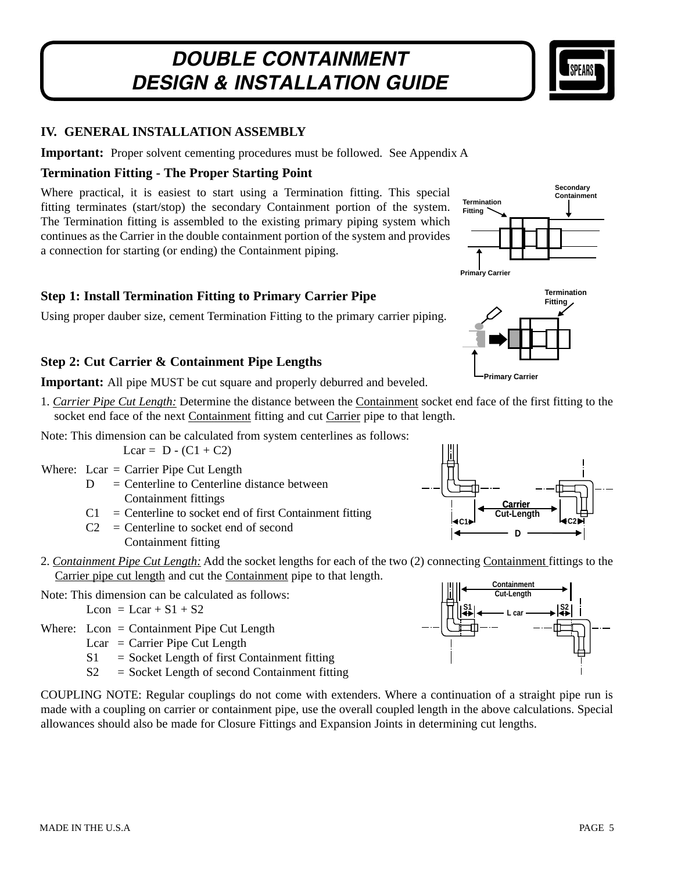

### **IV. GENERAL INSTALLATION ASSEMBLY**

**Important:** Proper solvent cementing procedures must be followed. See Appendix A

#### **Termination Fitting - The Proper Starting Point**

Where practical, it is easiest to start using a Termination fitting. This special fitting terminates (start/stop) the secondary Containment portion of the system. The Termination fitting is assembled to the existing primary piping system which continues as the Carrier in the double containment portion of the system and provides a connection for starting (or ending) the Containment piping.



**Termination Fitting**

## **Step 1: Install Termination Fitting to Primary Carrier Pipe**

Using proper dauber size, cement Termination Fitting to the primary carrier piping.

#### **Step 2: Cut Carrier & Containment Pipe Lengths**

**Important:** All pipe MUST be cut square and properly deburred and beveled.

- 1. *Carrier Pipe Cut Length:* Determine the distance between the Containment socket end face of the first fitting to the socket end face of the next Containment fitting and cut Carrier pipe to that length.
- Note: This dimension can be calculated from system centerlines as follows:

Lcar =  $D - (C1 + C2)$ 

- Where:  $Lcar = Carrier$  Pipe Cut Length
	- $D =$  Centerline to Centerline distance between Containment fittings
	- $C1 =$  Centerline to socket end of first Containment fitting
	- $C2 =$  Centerline to socket end of second Containment fitting
- 2. *Containment Pipe Cut Length:* Add the socket lengths for each of the two (2) connecting Containment fittings to the Carrier pipe cut length and cut the Containment pipe to that length.

Note: This dimension can be calculated as follows:

$$
Lcon = Lcar + S1 + S2
$$

- Where: Lcon = Containment Pipe Cut Length
	- Lcar = Carrier Pipe Cut Length
	- $S1 =$  Socket Length of first Containment fitting
	- $S2 =$  Socket Length of second Containment fitting

COUPLING NOTE: Regular couplings do not come with extenders. Where a continuation of a straight pipe run is made with a coupling on carrier or containment pipe, use the overall coupled length in the above calculations. Special allowances should also be made for Closure Fittings and Expansion Joints in determining cut lengths.



**Primary Carrier**

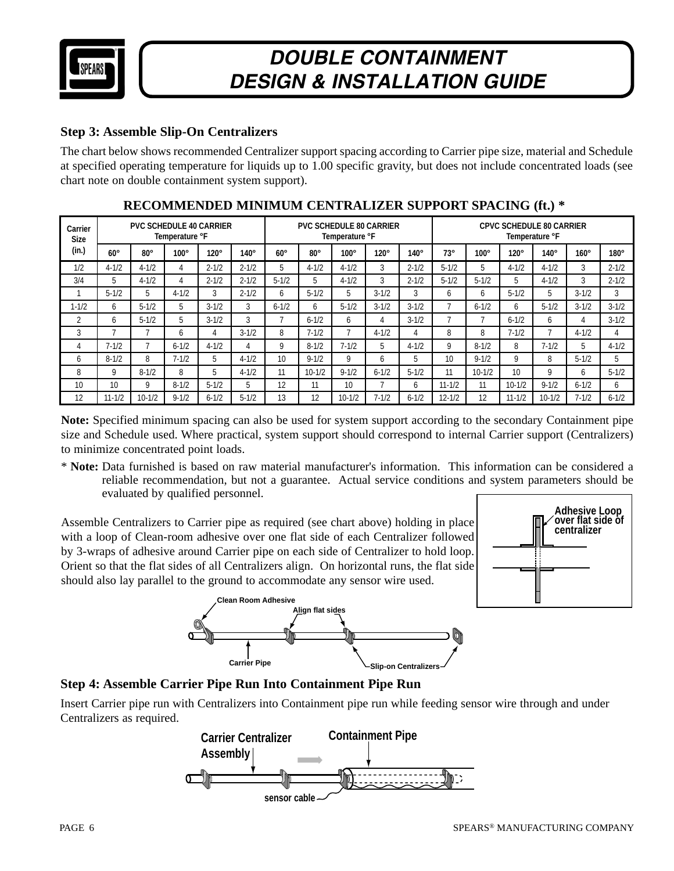

### **Step 3: Assemble Slip-On Centralizers**

The chart below shows recommended Centralizer support spacing according to Carrier pipe size, material and Schedule at specified operating temperature for liquids up to 1.00 specific gravity, but does not include concentrated loads (see chart note on double containment system support).

| Carrier<br><b>Size</b> |              |            | Temperature °F | <b>PVC SCHEDULE 40 CARRIER</b> |             |              |              |              | <b>PVC SCHEDULE 80 CARRIER</b><br>Temperature °F |             |            |             | <b>CPVC SCHEDULE 80 CARRIER</b><br>Temperature °F |              |             |             |  |  |  |
|------------------------|--------------|------------|----------------|--------------------------------|-------------|--------------|--------------|--------------|--------------------------------------------------|-------------|------------|-------------|---------------------------------------------------|--------------|-------------|-------------|--|--|--|
| (in.)                  | $60^\circ$   | $80^\circ$ | $100^\circ$    | $120^\circ$                    | $140^\circ$ | $60^\circ$   | $80^{\circ}$ | $100^\circ$  | $120^\circ$                                      | $140^\circ$ | $73^\circ$ | $100^\circ$ | $120^\circ$                                       | $140^\circ$  | $160^\circ$ | $180^\circ$ |  |  |  |
| 1/2                    | $4 - 1/2$    | $4 - 1/2$  | 4              | $2 - 1/2$                      | $2 - 1/2$   | 5            | $4 - 1/2$    | $4 - 1/2$    | 3                                                | $2 - 1/2$   | $5 - 1/2$  | 5           | $4 - 1/2$                                         | $4 - 1/2$    | 3           | $2 - 1/2$   |  |  |  |
| 3/4                    | 5            | $4 - 1/2$  |                | $2 - 1/2$                      | $2 - 1/2$   | $5 - 1/2$    | 5            | $4 - 1/2$    | 3                                                | $2 - 1/2$   | $5 - 1/2$  | $5 - 1/2$   | 5                                                 | $4 - 1/2$    | 3           | $2 - 1/2$   |  |  |  |
|                        | $5 - 1/2$    | 5          | $4 - 1/2$      | 3                              | $2 - 1/2$   | <sub>6</sub> | $5 - 1/2$    | 5            | $3 - 1/2$                                        | 3           | h.         | h           | $5 - 1/2$                                         |              | $3 - 1/2$   | 3           |  |  |  |
| $1 - 1/2$              | 6            | $5 - 1/2$  | 5              | $3 - 1/2$                      | 3           | $6 - 1/2$    | <sub>6</sub> | $5 - 1/2$    | $3 - 1/2$                                        | $3 - 1/2$   |            | $6 - 1/2$   | <sub>6</sub>                                      | $5 - 1/2$    | $3 - 1/2$   | $3 - 1/2$   |  |  |  |
| ำ                      | <sub>6</sub> | $5 - 1/2$  | 5              | $3 - 1/2$                      | 3           |              | $6 - 1/2$    | <sub>6</sub> | 4                                                | $3 - 1/2$   |            |             | $6 - 1/2$                                         | <sub>6</sub> | 4           | $3 - 1/2$   |  |  |  |
| 3                      |              |            | h              | 4                              | $3 - 1/2$   | 8            | $7 - 1/2$    |              | $4 - 1/2$                                        | 4           | 8          | 8           | $7 - 1/2$                                         |              | $4 - 1/2$   | 4           |  |  |  |
| 4                      | $7 - 1/2$    |            | $6 - 1/2$      | $4 - 1/2$                      | 4           | Q            | $8 - 1/2$    | $7 - 1/2$    | b                                                | $4 - 1/2$   | Q          | $8 - 1/2$   | 8                                                 | $7 - 1/2$    | 5           | $4 - 1/2$   |  |  |  |
| <sub>6</sub>           | $8 - 1/2$    | 8          | $7 - 1/2$      | 5                              | $4 - 1/2$   | 10           | $9 - 1/2$    | 9            | h.                                               | 5           | 10         | $9 - 1/2$   | 9                                                 | 8            | $5 - 1/2$   | 5           |  |  |  |
| 8                      | 9            | $8 - 1/2$  | 8              | 5                              | $4 - 1/2$   | 11           | $10 - 1/2$   | $9 - 1/2$    | $6 - 1/2$                                        | $5 - 1/2$   | 11         | $10 - 1/2$  | 10                                                | 9            | b           | $5 - 1/2$   |  |  |  |
| 10                     | 10           | Q          | $8 - 1/2$      | $5 - 1/2$                      | 5           | 12           | 11           | 10           | ⇁                                                | 6           | $11 - 1/2$ | 11          | $10 - 1/2$                                        | $9 - 1/2$    | $6 - 1/2$   | 6           |  |  |  |
| 12                     | $11 - 1/2$   | $10 - 1/2$ | $9 - 1/2$      | $6 - 1/2$                      | $5 - 1/2$   | 13           | 12           | $10 - 1/2$   | $7 - 1/2$                                        | $6 - 1/2$   | $12 - 1/2$ | 12          | $11 - 1/2$                                        | $10 - 1/2$   | $7 - 1/2$   | $6 - 1/2$   |  |  |  |

## **RECOMMENDED MINIMUM CENTRALIZER SUPPORT SPACING (ft.) \***

Note: Specified minimum spacing can also be used for system support according to the secondary Containment pipe size and Schedule used. Where practical, system support should correspond to internal Carrier support (Centralizers) to minimize concentrated point loads.

to minimize concentrated point loads.<br>\* Note: Data furnished is based on raw material manufacturer's information. This information can be considered a reliable recommendation, but not a guarantee. Actual service conditions and system parameters should be reliable recommendation, but not a guarantee. Actual service conditions and system parameters should be evaluated by qualified personnel.

Assemble Centralizers to Carrier pipe as required (see chart above) holding in place with a loop of Clean-room adhesive over one flat side of each Centralizer followed by 3-wraps of adhesive around Carrier pipe on each side of Centralizer to hold loop. Orient so that the flat sides of all Centralizers align. On horizontal runs, the flat side should also lay parallel to the ground to accommodate any sensor wire used. evaluated by qualified personnel.<br>Assemble Centralizers to Carrier pipe as required (see chart above) holding in place<br>with a loop of Clean-room adhesive over one flat side of each Centralizer followed<br>by 3-wraps of adhesi







Insert Carrier pipe run with Centralizers into Containment pipe run while feeding sensor wire through and under Centralizers as required.

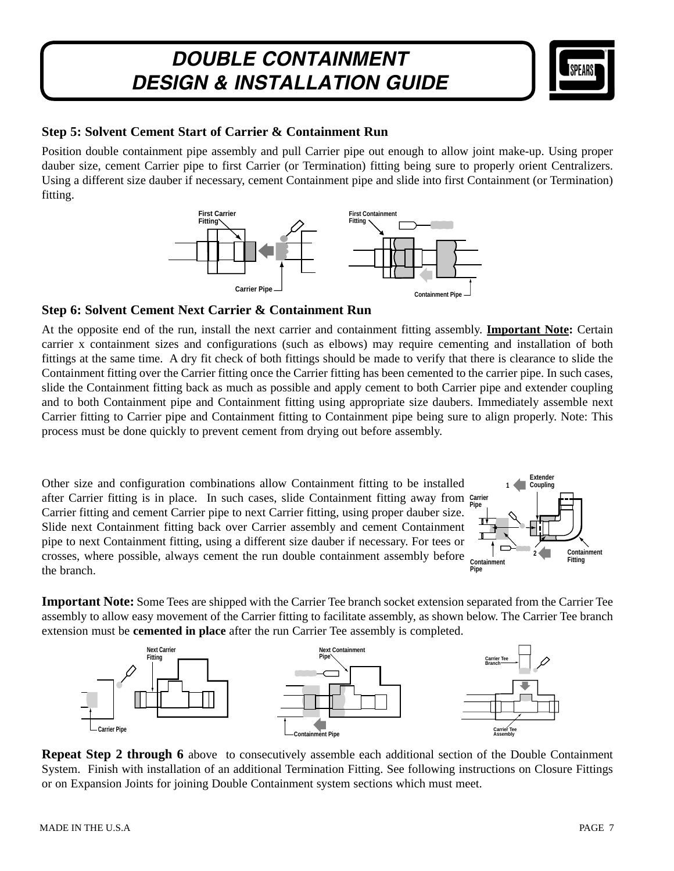

#### **Step 5: Solvent Cement Start of Carrier & Containment Run**

Position double containment pipe assembly and pull Carrier pipe out enough to allow joint make-up. Using proper dauber size, cement Carrier pipe to first Carrier (or Termination) fitting being sure to properly orient Centralizers. Using a different size dauber if necessary, cement Containment pipe and slide into first Containment (or Termination) fitting.



#### **Step 6: Solvent Cement Next Carrier & Containment Run**

At the opposite end of the run, install the next carrier and containment fitting assembly. **Important Note:** Certain carrier x containment sizes and configurations (such as elbows) may require cementing and installation of both fittings at the same time. A dry fit check of both fittings should be made to verify that there is clearance to slide the Containment fitting over the Carrier fitting once the Carrier fitting has been cemented to the carrier pipe. In such cases, slide the Containment fitting back as much as possible and apply cement to both Carrier pipe and extender coupling and to both Containment pipe and Containment fitting using appropriate size daubers. Immediately assemble next Carrier fitting to Carrier pipe and Containment fitting to Containment pipe being sure to align properly. Note: This process must be done quickly to prevent cement from drying out before assembly.

Other size and configuration combinations allow Containment fitting to be installed after Carrier fitting is in place. In such cases, slide Containment fitting away from Carrier Carrier fitting and cement Carrier pipe to next Carrier fitting, using proper dauber size. Slide next Containment fitting back over Carrier assembly and cement Containment pipe to next Containment fitting, using a different size dauber if necessary. For tees or crosses, where possible, always cement the run double containment assembly before the branch.



**Important Note:** Some Tees are shipped with the Carrier Tee branch socket extension separated from the Carrier Tee assembly to allow easy movement of the Carrier fitting to facilitate assembly, as shown below. The Carrier Tee branch extension must be **cemented in place** after the run Carrier Tee assembly is completed.



**Repeat Step 2 through 6** above to consecutively assemble each additional section of the Double Containment System. Finish with installation of an additional Termination Fitting. See following instructions on Closure Fittings or on Expansion Joints for joining Double Containment system sections which must meet.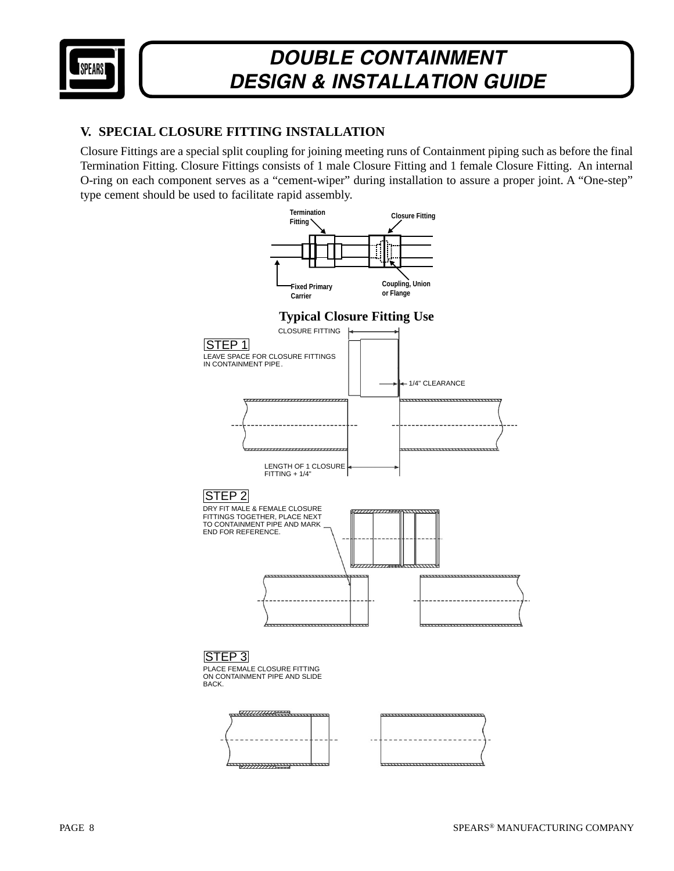

### **V. SPECIAL CLOSURE FITTING INSTALLATION**

Closure Fittings are a special split coupling for joining meeting runs of Containment piping such as before the final Termination Fitting. Closure Fittings consists of 1 male Closure Fitting and 1 female Closure Fitting. An internal O-ring on each component serves as a "cement-wiper" during installation to assure a proper joint. A "One-step" type cement should be used to facilitate rapid assembly.

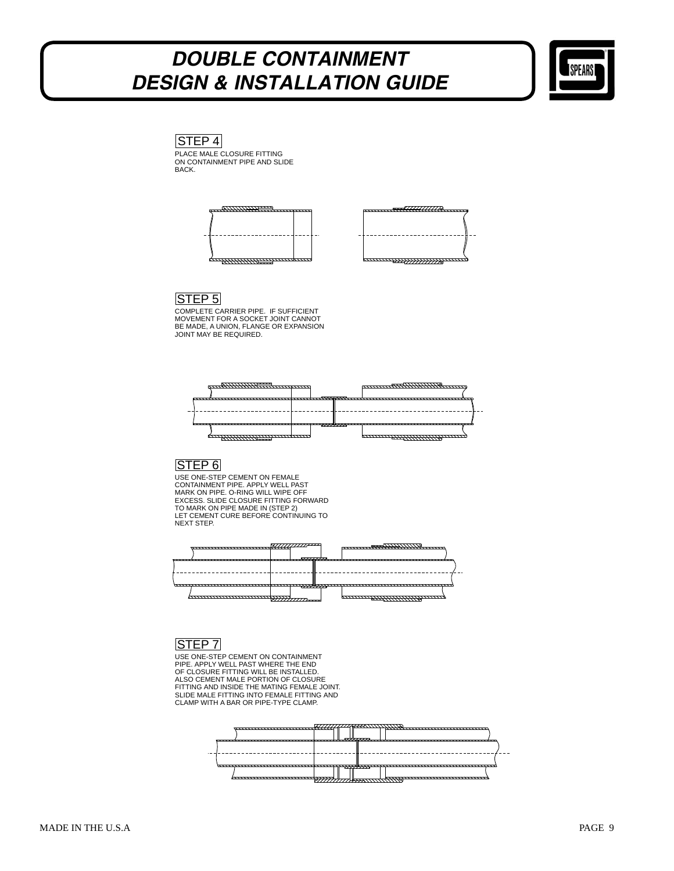

PLACE MALE CLOSURE FITTING ON CONTAINMENT PIPE AND SLIDE BACK.  $|STEP 4|$ 





#### STEP 5

COMPLETE CARRIER PIPE. IF SUFFICIENT MOVEMENT FOR A SOCKET JOINT CANNOT BE MADE, A UNION, FLANGE OR EXPANSION JOINT MAY BE REQUIRED.



## STEP 6

USE ONE-STEP CEMENT ON FEMALE CONTAINMENT PIPE. APPLY WELL PAST<br>MARK ON PIPE. O-RING WILL WIPE OFF<br>EXCESS. SLIDE CLOSURE FITTING FORWARD<br>TO MARK ON PIPE MADE IN (STEP 2) LET CEMENT CURE BEFORE CONTINUING TO NEXT STEP.



### STEP 7

USE ONE-STEP CEMENT ON CONTAINMENT PIPE. APPLY WELL PAST WHERE THE END<br>OF CLOSURE FITTING WILL BE INSTALLED.<br>ALSO CEMENT MALE PORTION OF CLOSURE<br>FITTING AND INSIDE THE MATING FEMALE JOINT.<br>SLIDE MALE FITTING INTO FEMALE FITTING AND<br>CLAMP WITH A BAR OR PIPE-

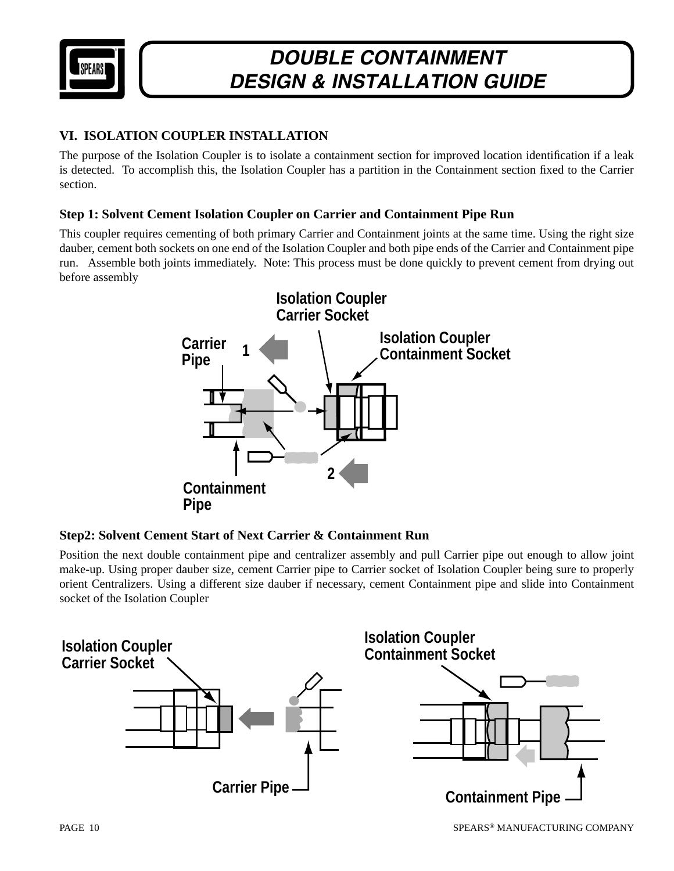

## **VI. ISOLATION COUPLER INSTALLATION**

The purpose of the Isolation Coupler is to isolate a containment section for improved location identification if a leak is detected. To accomplish this, the Isolation Coupler has a partition in the Containment section fixed to the Carrier section.

#### **Step 1: Solvent Cement Isolation Coupler on Carrier and Containment Pipe Run**

This coupler requires cementing of both primary Carrier and Containment joints at the same time. Using the right size dauber, cement both sockets on one end of the Isolation Coupler and both pipe ends of the Carrier and Containment pipe run. Assemble both joints immediately. Note: This process must be done quickly to prevent cement from drying out before assembly



### **Step2: Solvent Cement Start of Next Carrier & Containment Run**

Position the next double containment pipe and centralizer assembly and pull Carrier pipe out enough to allow joint make-up. Using proper dauber size, cement Carrier pipe to Carrier socket of Isolation Coupler being sure to properly orient Centralizers. Using a different size dauber if necessary, cement Containment pipe and slide into Containment socket of the Isolation Coupler

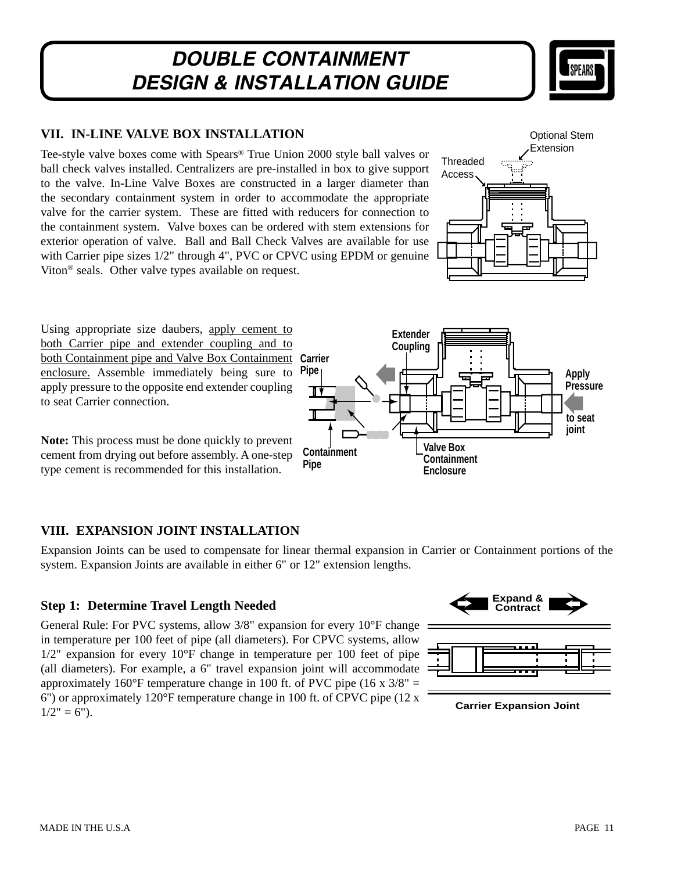

### **VII. IN-LINE VALVE BOX INSTALLATION**

Tee-style valve boxes come with Spears® True Union 2000 style ball valves or ball check valves installed. Centralizers are pre-installed in box to give support to the valve. In-Line Valve Boxes are constructed in a larger diameter than the secondary containment system in order to accommodate the appropriate valve for the carrier system. These are fitted with reducers for connection to the containment system. Valve boxes can be ordered with stem extensions for exterior operation of valve. Ball and Ball Check Valves are available for use with Carrier pipe sizes  $1/2$ " through 4", PVC or CPVC using EPDM or genuine Viton® seals. Other valve types available on request.



Using appropriate size daubers, apply cement to both Carrier pipe and extender coupling and to both Containment pipe and Valve Box Containment enclosure. Assemble immediately being sure to apply pressure to the opposite end extender coupling to seat Carrier connection. **Carrier**

**Note:** This process must be done quickly to prevent cement from drying out before assembly. A one-step type cement is recommended for this installation.

### **VIII. EXPANSION JOINT INSTALLATION**

Expansion Joints can be used to compensate for linear thermal expansion in Carrier or Containment portions of the system. Expansion Joints are available in either 6" or 12" extension lengths.

### **Step 1: Determine Travel Length Needed**

General Rule: For PVC systems, allow 3/8" expansion for every 10°F change in temperature per 100 feet of pipe (all diameters). For CPVC systems, allow 1/2" expansion for every 10°F change in temperature per 100 feet of pipe (all diameters). For example, a 6" travel expansion joint will accommodate approximately 160 $\degree$ F temperature change in 100 ft. of PVC pipe (16 x 3/8" = 6") or approximately 120°F temperature change in 100 ft. of CPVC pipe (12 x  $1/2" = 6"$ ).



**Containment Pipe Pipe Valve Box Containment Enclosure Apply Pressure to seat joint**

**Extender Coupling**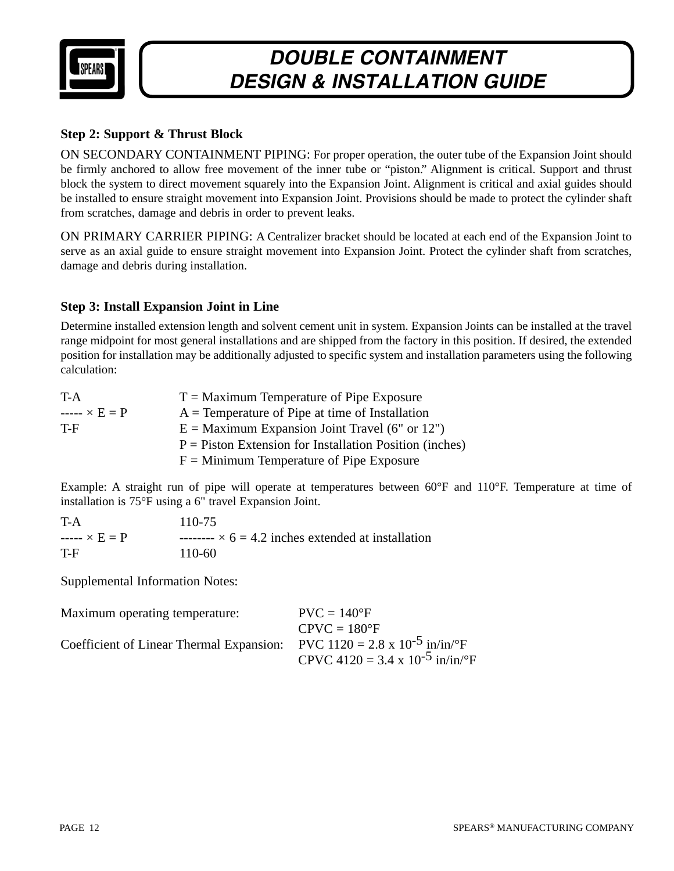

### **Step 2: Support & Thrust Block**

ON SECONDARY CONTAINMENT PIPING: For proper operation, the outer tube of the Expansion Joint should be firmly anchored to allow free movement of the inner tube or "piston." Alignment is critical. Support and thrust block the system to direct movement squarely into the Expansion Joint. Alignment is critical and axial guides should be installed to ensure straight movement into Expansion Joint. Provisions should be made to protect the cylinder shaft from scratches, damage and debris in order to prevent leaks.

ON PRIMARY CARRIER PIPING: A Centralizer bracket should be located at each end of the Expansion Joint to serve as an axial guide to ensure straight movement into Expansion Joint. Protect the cylinder shaft from scratches, damage and debris during installation.

### **Step 3: Install Expansion Joint in Line**

Determine installed extension length and solvent cement unit in system. Expansion Joints can be installed at the travel range midpoint for most general installations and are shipped from the factory in this position. If desired, the extended position for installation may be additionally adjusted to specific system and installation parameters using the following calculation:

| T-A                | $T =$ Maximum Temperature of Pipe Exposure                |
|--------------------|-----------------------------------------------------------|
| $--- \times E = P$ | $A =$ Temperature of Pipe at time of Installation         |
| T-F                | $E =$ Maximum Expansion Joint Travel (6" or 12")          |
|                    | $P =$ Piston Extension for Installation Position (inches) |
|                    | $F =$ Minimum Temperature of Pipe Exposure                |

Example: A straight run of pipe will operate at temperatures between 60°F and 110°F. Temperature at time of installation is 75°F using a 6" travel Expansion Joint.

| T-A                | 110-75                                                    |
|--------------------|-----------------------------------------------------------|
| $--- \times E = P$ | -------- $\times$ 6 = 4.2 inches extended at installation |
| T-F                | $110-60$                                                  |

Supplemental Information Notes:

| Maximum operating temperature:                                                                   | $PVC = 140^{\circ}F$                        |
|--------------------------------------------------------------------------------------------------|---------------------------------------------|
|                                                                                                  | $CPVC = 180^{\circ}F$                       |
| Coefficient of Linear Thermal Expansion: PVC 1120 = 2.8 x 10 <sup>-5</sup> in/in/ <sup>o</sup> F |                                             |
|                                                                                                  | CPVC 4120 = 3.4 x 10 <sup>-5</sup> in/in/°F |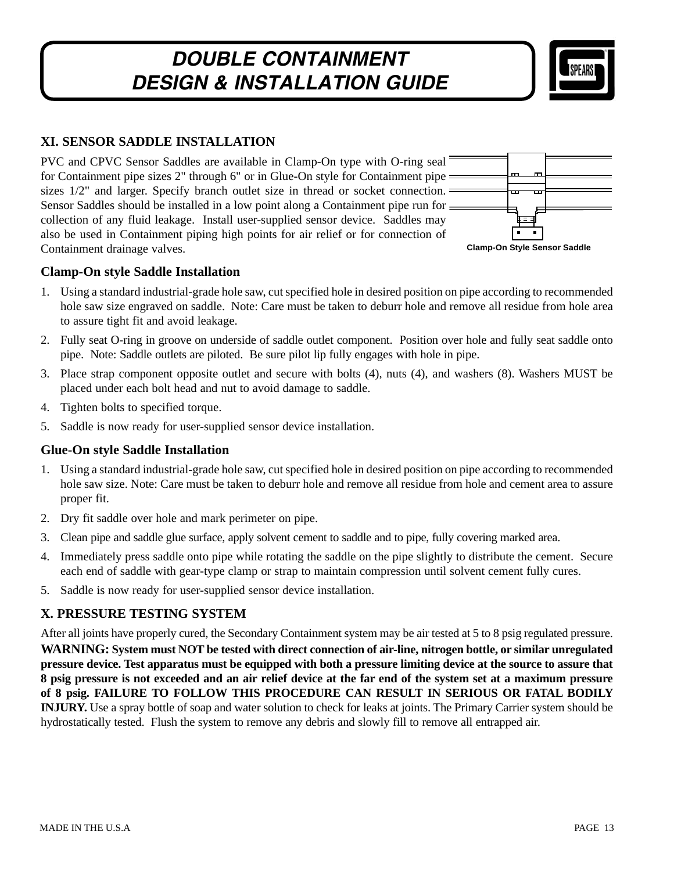

### **XI. SENSOR SADDLE INSTALLATION**

PVC and CPVC Sensor Saddles are available in Clamp-On type with O-ring seal for Containment pipe sizes 2" through 6" or in Glue-On style for Containment pipe sizes 1/2" and larger. Specify branch outlet size in thread or socket connection. Sensor Saddles should be installed in a low point along a Containment pipe run for collection of any fluid leakage. Install user-supplied sensor device. Saddles may also be used in Containment piping high points for air relief or for connection of Containment drainage valves.



#### **Clamp-On style Saddle Installation**

- 1. Using a standard industrial-grade hole saw, cut specified hole in desired position on pipe according to recommended hole saw size engraved on saddle. Note: Care must be taken to deburr hole and remove all residue from hole area to assure tight fit and avoid leakage.
- 2. Fully seat O-ring in groove on underside of saddle outlet component. Position over hole and fully seat saddle onto pipe. Note: Saddle outlets are piloted. Be sure pilot lip fully engages with hole in pipe.
- 3. Place strap component opposite outlet and secure with bolts (4), nuts (4), and washers (8). Washers MUST be placed under each bolt head and nut to avoid damage to saddle.
- 4. Tighten bolts to specified torque.
- 5. Saddle is now ready for user-supplied sensor device installation.

#### **Glue-On style Saddle Installation**

- 1. Using a standard industrial-grade hole saw, cut specified hole in desired position on pipe according to recommended hole saw size. Note: Care must be taken to deburr hole and remove all residue from hole and cement area to assure proper fit.
- 2. Dry fit saddle over hole and mark perimeter on pipe.
- 3. Clean pipe and saddle glue surface, apply solvent cement to saddle and to pipe, fully covering marked area.
- 4. Immediately press saddle onto pipe while rotating the saddle on the pipe slightly to distribute the cement. Secure each end of saddle with gear-type clamp or strap to maintain compression until solvent cement fully cures.
- 5. Saddle is now ready for user-supplied sensor device installation.

### **X. PRESSURE TESTING SYSTEM**

After all joints have properly cured, the Secondary Containment system may be air tested at 5 to 8 psig regulated pressure. **WARNING: System must NOT be tested with direct connection of air-line, nitrogen bottle, or similar unregulated pressure device. Test apparatus must be equipped with both a pressure limiting device at the source to assure that 8 psig pressure is not exceeded and an air relief device at the far end of the system set at a maximum pressure of 8 psig. FAILURE TO FOLLOW THIS PROCEDURE CAN RESULT IN SERIOUS OR FATAL BODILY INJURY.** Use a spray bottle of soap and water solution to check for leaks at joints. The Primary Carrier system should be hydrostatically tested. Flush the system to remove any debris and slowly fill to remove all entrapped air.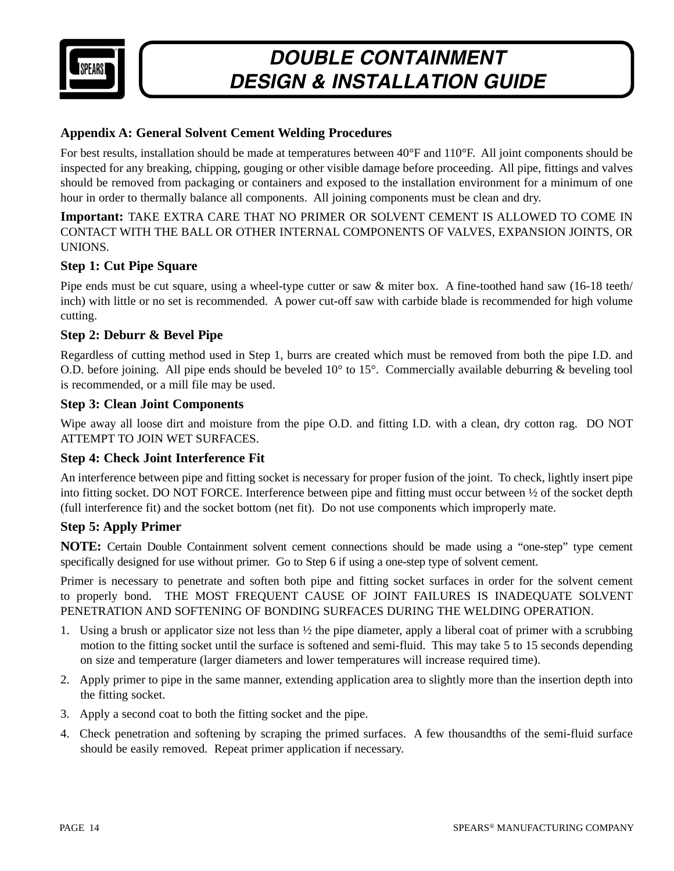

#### **Appendix A: General Solvent Cement Welding Procedures**

For best results, installation should be made at temperatures between 40°F and 110°F. All joint components should be inspected for any breaking, chipping, gouging or other visible damage before proceeding. All pipe, fittings and valves should be removed from packaging or containers and exposed to the installation environment for a minimum of one hour in order to thermally balance all components. All joining components must be clean and dry.

**Important:** TAKE EXTRA CARE THAT NO PRIMER OR SOLVENT CEMENT IS ALLOWED TO COME IN CONTACT WITH THE BALL OR OTHER INTERNAL COMPONENTS OF VALVES, EXPANSION JOINTS, OR UNIONS.

#### **Step 1: Cut Pipe Square**

Pipe ends must be cut square, using a wheel-type cutter or saw & miter box. A fine-toothed hand saw (16-18 teeth/ inch) with little or no set is recommended. A power cut-off saw with carbide blade is recommended for high volume cutting.

#### **Step 2: Deburr & Bevel Pipe**

Regardless of cutting method used in Step 1, burrs are created which must be removed from both the pipe I.D. and O.D. before joining. All pipe ends should be beveled  $10^{\circ}$  to  $15^{\circ}$ . Commercially available deburring & beveling tool is recommended, or a mill file may be used.

#### **Step 3: Clean Joint Components**

Wipe away all loose dirt and moisture from the pipe O.D. and fitting I.D. with a clean, dry cotton rag. DO NOT ATTEMPT TO JOIN WET SURFACES.

#### **Step 4: Check Joint Interference Fit**

An interference between pipe and fitting socket is necessary for proper fusion of the joint. To check, lightly insert pipe into fitting socket. DO NOT FORCE. Interference between pipe and fitting must occur between ½ of the socket depth (full interference fit) and the socket bottom (net fit). Do not use components which improperly mate.

#### **Step 5: Apply Primer**

**NOTE:** Certain Double Containment solvent cement connections should be made using a "one-step" type cement specifically designed for use without primer. Go to Step 6 if using a one-step type of solvent cement.

Primer is necessary to penetrate and soften both pipe and fitting socket surfaces in order for the solvent cement to properly bond. THE MOST FREQUENT CAUSE OF JOINT FAILURES IS INADEQUATE SOLVENT PENETRATION AND SOFTENING OF BONDING SURFACES DURING THE WELDING OPERATION.

- 1. Using a brush or applicator size not less than  $\frac{1}{2}$  the pipe diameter, apply a liberal coat of primer with a scrubbing motion to the fitting socket until the surface is softened and semi-fluid. This may take 5 to 15 seconds depending on size and temperature (larger diameters and lower temperatures will increase required time).
- 2. Apply primer to pipe in the same manner, extending application area to slightly more than the insertion depth into the fitting socket.
- 3. Apply a second coat to both the fitting socket and the pipe.
- 4. Check penetration and softening by scraping the primed surfaces. A few thousandths of the semi-fluid surface should be easily removed. Repeat primer application if necessary.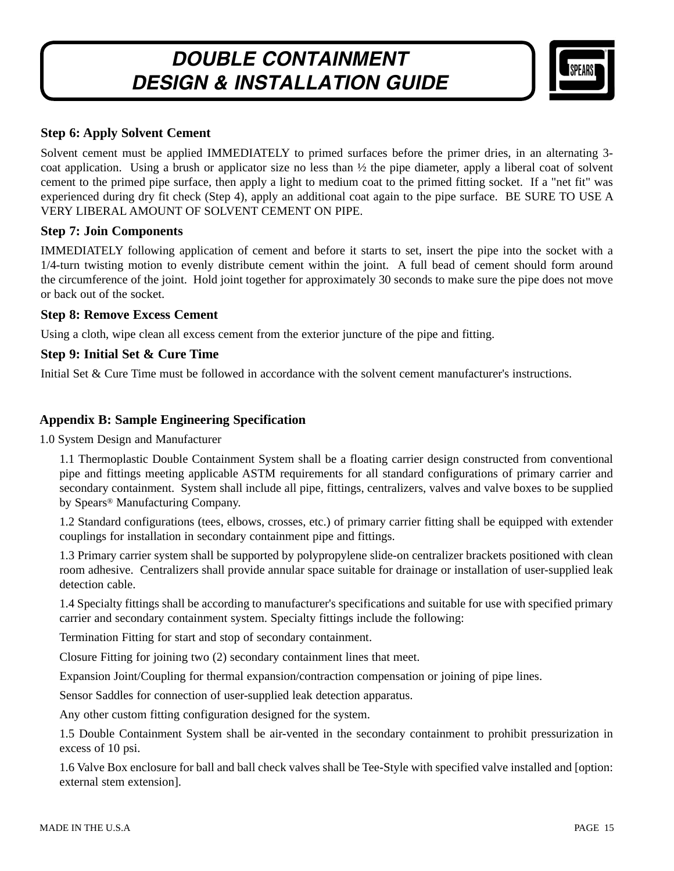

#### **Step 6: Apply Solvent Cement**

Solvent cement must be applied IMMEDIATELY to primed surfaces before the primer dries, in an alternating 3 coat application. Using a brush or applicator size no less than  $\frac{1}{2}$  the pipe diameter, apply a liberal coat of solvent cement to the primed pipe surface, then apply a light to medium coat to the primed fitting socket. If a "net fit" was experienced during dry fit check (Step 4), apply an additional coat again to the pipe surface. BE SURE TO USE A VERY LIBERAL AMOUNT OF SOLVENT CEMENT ON PIPE.

#### **Step 7: Join Components**

IMMEDIATELY following application of cement and before it starts to set, insert the pipe into the socket with a 1/4-turn twisting motion to evenly distribute cement within the joint. A full bead of cement should form around the circumference of the joint. Hold joint together for approximately 30 seconds to make sure the pipe does not move or back out of the socket.

#### **Step 8: Remove Excess Cement**

Using a cloth, wipe clean all excess cement from the exterior juncture of the pipe and fitting.

#### **Step 9: Initial Set & Cure Time**

Initial Set & Cure Time must be followed in accordance with the solvent cement manufacturer's instructions.

#### **Appendix B: Sample Engineering Specification**

1.0 System Design and Manufacturer

1.1 Thermoplastic Double Containment System shall be a floating carrier design constructed from conventional pipe and fittings meeting applicable ASTM requirements for all standard configurations of primary carrier and secondary containment. System shall include all pipe, fittings, centralizers, valves and valve boxes to be supplied by Spears® Manufacturing Company.

1.2 Standard configurations (tees, elbows, crosses, etc.) of primary carrier fitting shall be equipped with extender couplings for installation in secondary containment pipe and fittings.

1.3 Primary carrier system shall be supported by polypropylene slide-on centralizer brackets positioned with clean room adhesive. Centralizers shall provide annular space suitable for drainage or installation of user-supplied leak detection cable.

1.4 Specialty fittings shall be according to manufacturer's specifications and suitable for use with specified primary carrier and secondary containment system. Specialty fittings include the following:

Termination Fitting for start and stop of secondary containment.

Closure Fitting for joining two (2) secondary containment lines that meet.

Expansion Joint/Coupling for thermal expansion/contraction compensation or joining of pipe lines.

Sensor Saddles for connection of user-supplied leak detection apparatus.

Any other custom fitting configuration designed for the system.

1.5 Double Containment System shall be air-vented in the secondary containment to prohibit pressurization in excess of 10 psi.

1.6 Valve Box enclosure for ball and ball check valves shall be Tee-Style with specified valve installed and [option: external stem extension].